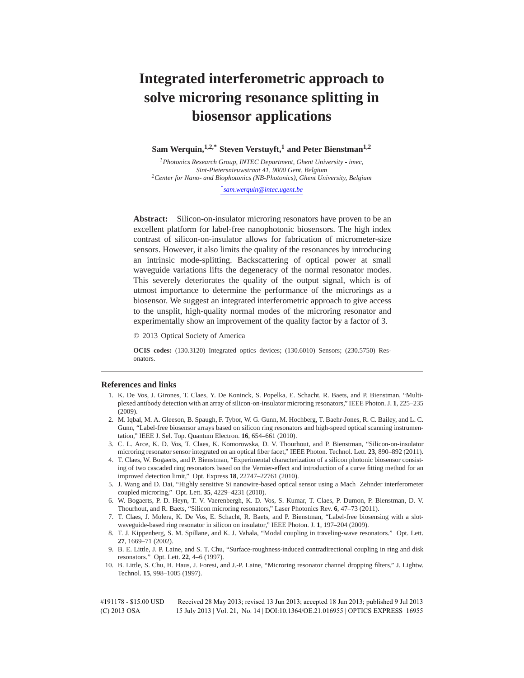# **Integrated interferometric approach to solve microring resonance splitting in biosensor applications**

**Sam Werquin,1,2,\* Steven Verstuyft,1 and Peter Bienstman1,2**

*1Photonics Research Group, INTEC Department, Ghent University - imec, Sint-Pietersnieuwstraat 41, 9000 Gent, Belgium 2Center for Nano- and Biophotonics (NB-Photonics), Ghent University, Belgium*

*\*sam.werquin@intec.ugent.be*

**Abstract:** Silicon-on-insulator microring resonators have proven to be an excellent platform for label-free nanophotonic biosensors. The high index contrast of silicon-on-insulator allows for fabrication of micrometer-size sensors. However, it also limits the quality of the resonances by introducing an intrinsic mode-splitting. Backscattering of optical power at small waveguide variations lifts the degeneracy of the normal resonator modes. This severely deteriorates the quality of the output signal, which is of utmost importance to determine the performance of the microrings as a biosensor. We suggest an integrated interferometric approach to give access to the unsplit, high-quality normal modes of the microring resonator and experimentally show an improvement of the quality factor by a factor of 3.

© 2013 Optical Society of America

**OCIS codes:** (130.3120) Integrated optics devices; (130.6010) Sensors; (230.5750) Resonators.

### **References and links**

- 1. K. De Vos, J. Girones, T. Claes, Y. De Koninck, S. Popelka, E. Schacht, R. Baets, and P. Bienstman, "Multiplexed antibody detection with an array of silicon-on-insulator microring resonators," IEEE Photon. J. **1**, 225–235  $(2009)$
- 2. M. Iqbal, M. A. Gleeson, B. Spaugh, F. Tybor, W. G. Gunn, M. Hochberg, T. Baehr-Jones, R. C. Bailey, and L. C. Gunn, "Label-free biosensor arrays based on silicon ring resonators and high-speed optical scanning instrumentation," IEEE J. Sel. Top. Quantum Electron. **16**, 654–661 (2010).
- 3. C. L. Arce, K. D. Vos, T. Claes, K. Komorowska, D. V. Thourhout, and P. Bienstman, "Silicon-on-insulator microring resonator sensor integrated on an optical fiber facet," IEEE Photon. Technol. Lett. **23**, 890–892 (2011).
- 4. T. Claes, W. Bogaerts, and P. Bienstman, "Experimental characterization of a silicon photonic biosensor consisting of two cascaded ring resonators based on the Vernier-effect and introduction of a curve fitting method for an improved detection limit," Opt. Express **18**, 22747–22761 (2010).
- 5. J. Wang and D. Dai, "Highly sensitive Si nanowire-based optical sensor using a Mach Zehnder interferometer coupled microring," Opt. Lett. **35**, 4229–4231 (2010).
- 6. W. Bogaerts, P. D. Heyn, T. V. Vaerenbergh, K. D. Vos, S. Kumar, T. Claes, P. Dumon, P. Bienstman, D. V. Thourhout, and R. Baets, "Silicon microring resonators," Laser Photonics Rev. **6**, 47–73 (2011).
- 7. T. Claes, J. Molera, K. De Vos, E. Schacht, R. Baets, and P. Bienstman, "Label-free biosensing with a slotwaveguide-based ring resonator in silicon on insulator," IEEE Photon. J. **1**, 197–204 (2009).
- 8. T. J. Kippenberg, S. M. Spillane, and K. J. Vahala, "Modal coupling in traveling-wave resonators." Opt. Lett. **27**, 1669–71 (2002).
- 9. B. E. Little, J. P. Laine, and S. T. Chu, "Surface-roughness-induced contradirectional coupling in ring and disk resonators." Opt. Lett. **22**, 4–6 (1997).
- 10. B. Little, S. Chu, H. Haus, J. Foresi, and J.-P. Laine, "Microring resonator channel dropping filters," J. Lightw. Technol. **15**, 998–1005 (1997).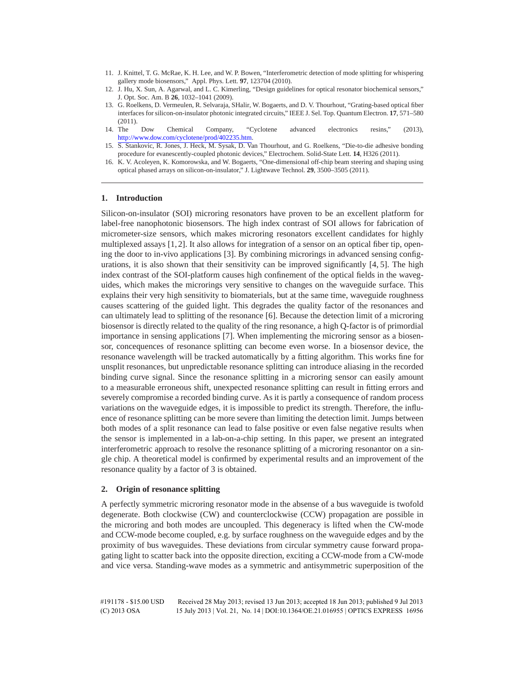- 11. J. Knittel, T. G. McRae, K. H. Lee, and W. P. Bowen, "Interferometric detection of mode splitting for whispering gallery mode biosensors," Appl. Phys. Lett. **97**, 123704 (2010).
- 12. J. Hu, X. Sun, A. Agarwal, and L. C. Kimerling, "Design guidelines for optical resonator biochemical sensors," J. Opt. Soc. Am. B **26**, 1032–1041 (2009).
- 13. G. Roelkens, D. Vermeulen, R. Selvaraja, SHalir, W. Bogaerts, and D. V. Thourhout, "Grating-based optical fiber interfaces for silicon-on-insulator photonic integrated circuits," IEEE J. Sel. Top. Quantum Electron. **17**, 571–580  $(2011).$ <br>14. The
- 14. The Dow Chemical Company, "Cyclotene advanced electronics resins," (2013), http://www.dow.com/cyclotene/prod/402235.htm.
- 15. S. Stankovic, R. Jones, J. Heck, M. Sysak, D. Van Thourhout, and G. Roelkens, "Die-to-die adhesive bonding procedure for evanescently-coupled photonic devices," Electrochem. Solid-State Lett. **14**, H326 (2011).
- 16. K. V. Acoleyen, K. Komorowska, and W. Bogaerts, "One-dimensional off-chip beam steering and shaping using optical phased arrays on silicon-on-insulator," J. Lightwave Technol. **29**, 3500–3505 (2011).

### **1. Introduction**

Silicon-on-insulator (SOI) microring resonators have proven to be an excellent platform for label-free nanophotonic biosensors. The high index contrast of SOI allows for fabrication of micrometer-size sensors, which makes microring resonators excellent candidates for highly multiplexed assays [1, 2]. It also allows for integration of a sensor on an optical fiber tip, opening the door to in-vivo applications [3]. By combining microrings in advanced sensing configurations, it is also shown that their sensitivity can be improved significantly [4, 5]. The high index contrast of the SOI-platform causes high confinement of the optical fields in the waveguides, which makes the microrings very sensitive to changes on the waveguide surface. This explains their very high sensitivity to biomaterials, but at the same time, waveguide roughness causes scattering of the guided light. This degrades the quality factor of the resonances and can ultimately lead to splitting of the resonance [6]. Because the detection limit of a microring biosensor is directly related to the quality of the ring resonance, a high Q-factor is of primordial importance in sensing applications [7]. When implementing the microring sensor as a biosensor, concequences of resonance splitting can become even worse. In a biosensor device, the resonance wavelength will be tracked automatically by a fitting algorithm. This works fine for unsplit resonances, but unpredictable resonance splitting can introduce aliasing in the recorded binding curve signal. Since the resonance splitting in a microring sensor can easily amount to a measurable erroneous shift, unexpected resonance splitting can result in fitting errors and severely compromise a recorded binding curve. As it is partly a consequence of random process variations on the waveguide edges, it is impossible to predict its strength. Therefore, the influence of resonance splitting can be more severe than limiting the detection limit. Jumps between both modes of a split resonance can lead to false positive or even false negative results when the sensor is implemented in a lab-on-a-chip setting. In this paper, we present an integrated interferometric approach to resolve the resonance splitting of a microring resonantor on a single chip. A theoretical model is confirmed by experimental results and an improvement of the resonance quality by a factor of 3 is obtained.

# **2. Origin of resonance splitting**

A perfectly symmetric microring resonator mode in the absense of a bus waveguide is twofold degenerate. Both clockwise (CW) and counterclockwise (CCW) propagation are possible in the microring and both modes are uncoupled. This degeneracy is lifted when the CW-mode and CCW-mode become coupled, e.g. by surface roughness on the waveguide edges and by the proximity of bus waveguides. These deviations from circular symmetry cause forward propagating light to scatter back into the opposite direction, exciting a CCW-mode from a CW-mode and vice versa. Standing-wave modes as a symmetric and antisymmetric superposition of the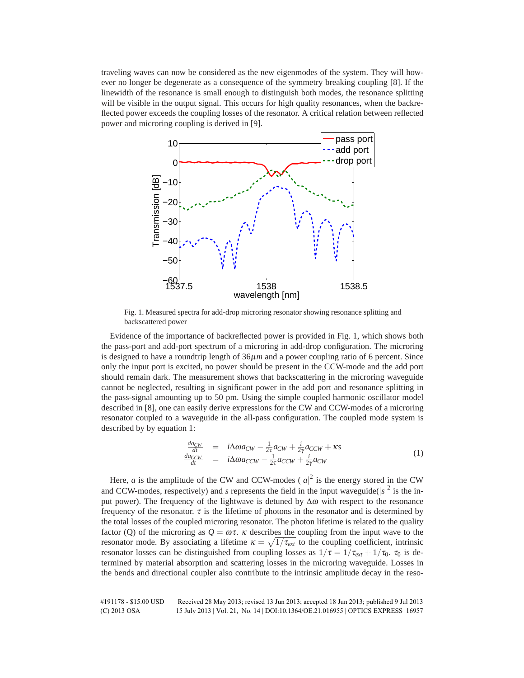traveling waves can now be considered as the new eigenmodes of the system. They will however no longer be degenerate as a consequence of the symmetry breaking coupling [8]. If the linewidth of the resonance is small enough to distinguish both modes, the resonance splitting will be visible in the output signal. This occurs for high quality resonances, when the backreflected power exceeds the coupling losses of the resonator. A critical relation between reflected power and microring coupling is derived in [9].



Fig. 1. Measured spectra for add-drop microring resonator showing resonance splitting and backscattered power

Evidence of the importance of backreflected power is provided in Fig. 1, which shows both the pass-port and add-port spectrum of a microring in add-drop configuration. The microring is designed to have a roundtrip length of  $36\mu m$  and a power coupling ratio of 6 percent. Since only the input port is excited, no power should be present in the CCW-mode and the add port should remain dark. The measurement shows that backscattering in the microring waveguide cannot be neglected, resulting in significant power in the add port and resonance splitting in the pass-signal amounting up to 50 pm. Using the simple coupled harmonic oscillator model described in [8], one can easily derive expressions for the CW and CCW-modes of a microring resonator coupled to a waveguide in the all-pass configuration. The coupled mode system is described by by equation 1:

$$
\frac{d c_W}{dt} = i\Delta \omega a_{CW} - \frac{1}{2\tau} a_{CW} + \frac{i}{2\gamma} a_{CW} + \kappa s
$$
\n
$$
\frac{d a_{CW}}{dt} = i\Delta \omega a_{CW} - \frac{1}{2\tau} a_{CW} + \frac{i}{2\gamma} a_{CW}
$$
\n(1)

Here, *a* is the amplitude of the CW and CCW-modes  $(|a|^2)$  is the energy stored in the CW and CCW-modes, respectively) and *s* represents the field in the input waveguide( $|s|^2$  is the input power). The frequency of the lightwave is detuned by  $\Delta\omega$  with respect to the resonance frequency of the resonator.  $\tau$  is the lifetime of photons in the resonator and is determined by the total losses of the coupled microring resonator. The photon lifetime is related to the quality factor (Q) of the microring as  $Q = \omega \tau$ . *κ* describes the coupling from the input wave to the resonator mode. By associating a lifetime  $\kappa = \sqrt{1/\tau_{ext}}$  to the coupling coefficient, intrinsic resonator losses can be distinguished from coupling losses as  $1/\tau = 1/\tau_{ext} + 1/\tau_0$ .  $\tau_0$  is determined by material absorption and scattering losses in the microring waveguide. Losses in the bends and directional coupler also contribute to the intrinsic amplitude decay in the reso-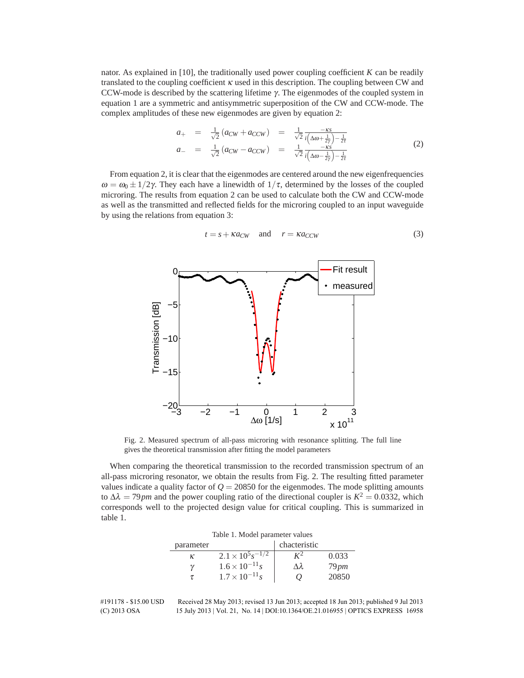nator. As explained in [10], the traditionally used power coupling coefficient  $K$  can be readily translated to the coupling coefficient  $\kappa$  used in this description. The coupling between CW and CCW-mode is described by the scattering lifetime γ. The eigenmodes of the coupled system in equation 1 are a symmetric and antisymmetric superposition of the CW and CCW-mode. The complex amplitudes of these new eigenmodes are given by equation 2:

$$
a_{+} = \frac{1}{\sqrt{2}} (a_{CW} + a_{CCW}) = \frac{1}{\sqrt{2}} \frac{-\kappa s}{i \left( \Delta \omega + \frac{1}{2\gamma} \right) - \frac{1}{2\tau}} a_{-} = \frac{1}{\sqrt{2}} (a_{CW} - a_{CCW}) = \frac{1}{\sqrt{2}} \frac{-\kappa s}{i \left( \Delta \omega - \frac{1}{2\gamma} \right) - \frac{1}{2\tau}}
$$
(2)

From equation 2, it is clear that the eigenmodes are centered around the new eigenfrequencies  $\omega = \omega_0 \pm 1/2\gamma$ . They each have a linewidth of  $1/\tau$ , determined by the losses of the coupled microring. The results from equation 2 can be used to calculate both the CW and CCW-mode as well as the transmitted and reflected fields for the microring coupled to an input waveguide by using the relations from equation 3:

$$
t = s + \kappa a_{CW} \quad \text{and} \quad r = \kappa a_{CCW} \tag{3}
$$



Fig. 2. Measured spectrum of all-pass microring with resonance splitting. The full line gives the theoretical transmission after fitting the model parameters

When comparing the theoretical transmission to the recorded transmission spectrum of an all-pass microring resonator, we obtain the results from Fig. 2. The resulting fitted parameter values indicate a quality factor of  $Q = 20850$  for the eigenmodes. The mode splitting amounts to  $\Delta \lambda = 79$ *pm* and the power coupling ratio of the directional coupler is  $K^2 = 0.0332$ , which corresponds well to the projected design value for critical coupling. This is summarized in table 1.

|  | Table 1. Model parameter values |
|--|---------------------------------|
|--|---------------------------------|

| parameter |                            | chacteristic |                   |
|-----------|----------------------------|--------------|-------------------|
| ĸ         | $2.1 \times 10^5 s^{-1/2}$ |              | 0.033             |
| $\gamma$  | $1.6 \times 10^{-11} s$    | Λλ           | $79 \, \text{pm}$ |
|           | $1.7 \times 10^{-11} s$    |              | 20850             |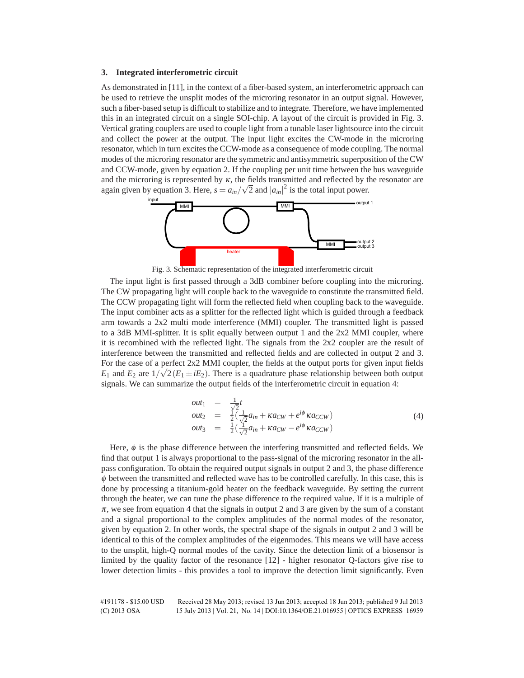#### **3. Integrated interferometric circuit**

As demonstrated in [11], in the context of a fiber-based system, an interferometric approach can be used to retrieve the unsplit modes of the microring resonator in an output signal. However, such a fiber-based setup is difficult to stabilize and to integrate. Therefore, we have implemented this in an integrated circuit on a single SOI-chip. A layout of the circuit is provided in Fig. 3. Vertical grating couplers are used to couple light from a tunable laser lightsource into the circuit and collect the power at the output. The input light excites the CW-mode in the microring resonator, which in turn excites the CCW-mode as a consequence of mode coupling. The normal modes of the microring resonator are the symmetric and antisymmetric superposition of the CW and CCW-mode, given by equation 2. If the coupling per unit time between the bus waveguide and the microring is represented by  $\kappa$ , the fields transmitted and reflected by the resonator are again given by equation 3. Here,  $s = a_{in}/\sqrt{2}$  and  $|a_{in}|^2$  is the total input power.



Fig. 3. Schematic representation of the integrated interferometric circuit

The input light is first passed through a 3dB combiner before coupling into the microring. The CW propagating light will couple back to the waveguide to constitute the transmitted field. The CCW propagating light will form the reflected field when coupling back to the waveguide. The input combiner acts as a splitter for the reflected light which is guided through a feedback arm towards a 2x2 multi mode interference (MMI) coupler. The transmitted light is passed to a 3dB MMI-splitter. It is split equally between output 1 and the 2x2 MMI coupler, where it is recombined with the reflected light. The signals from the 2x2 coupler are the result of interference between the transmitted and reflected fields and are collected in output 2 and 3. For the case of a perfect 2x2 MMI coupler, the fields at the output ports for given input fields *E*<sub>1</sub> and *E*<sub>2</sub> are  $1/\sqrt{2}$  (*E*<sub>1</sub>  $\pm iE_2$ ). There is a quadrature phase relationship between both output signals. We can summarize the output fields of the interferometric circuit in equation 4:

$$
out_1 = \frac{1}{\sqrt{2}}t \nout_2 = \frac{1}{2}(\frac{1}{\sqrt{2}}a_{in} + \kappa a_{CW} + e^{i\phi} \kappa a_{CCW}) \nout_3 = \frac{1}{2}(\frac{1}{\sqrt{2}}a_{in} + \kappa a_{CW} - e^{i\phi} \kappa a_{CCW})
$$
\n(4)

Here, φ is the phase difference between the interfering transmitted and reflected fields. We find that output 1 is always proportional to the pass-signal of the microring resonator in the allpass configuration. To obtain the required output signals in output 2 and 3, the phase difference  $\phi$  between the transmitted and reflected wave has to be controlled carefully. In this case, this is done by processing a titanium-gold heater on the feedback waveguide. By setting the current through the heater, we can tune the phase difference to the required value. If it is a multiple of  $\pi$ , we see from equation 4 that the signals in output 2 and 3 are given by the sum of a constant and a signal proportional to the complex amplitudes of the normal modes of the resonator, given by equation 2. In other words, the spectral shape of the signals in output 2 and 3 will be identical to this of the complex amplitudes of the eigenmodes. This means we will have access to the unsplit, high-Q normal modes of the cavity. Since the detection limit of a biosensor is limited by the quality factor of the resonance [12] - higher resonator Q-factors give rise to lower detection limits - this provides a tool to improve the detection limit significantly. Even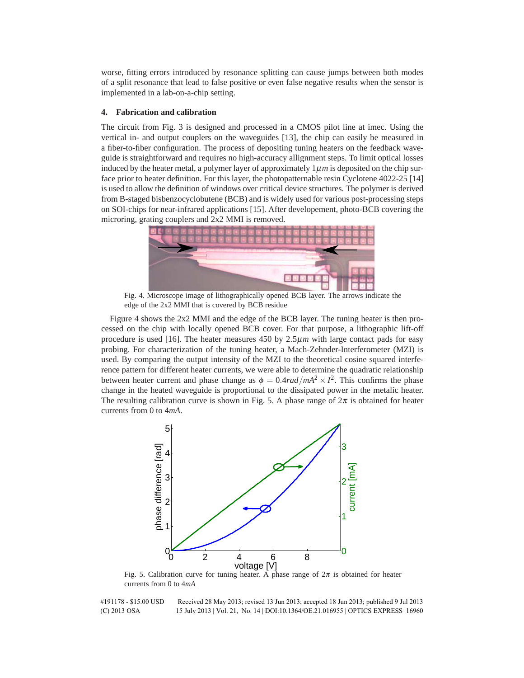worse, fitting errors introduced by resonance splitting can cause jumps between both modes of a split resonance that lead to false positive or even false negative results when the sensor is implemented in a lab-on-a-chip setting.

## **4. Fabrication and calibration**

The circuit from Fig. 3 is designed and processed in a CMOS pilot line at imec. Using the vertical in- and output couplers on the waveguides [13], the chip can easily be measured in a fiber-to-fiber configuration. The process of depositing tuning heaters on the feedback waveguide is straightforward and requires no high-accuracy allignment steps. To limit optical losses induced by the heater metal, a polymer layer of approximately  $1\mu m$  is deposited on the chip surface prior to heater definition. For this layer, the photopatternable resin Cyclotene 4022-25 [14] is used to allow the definition of windows over critical device structures. The polymer is derived from B-staged bisbenzocyclobutene (BCB) and is widely used for various post-processing steps on SOI-chips for near-infrared applications [15]. After developement, photo-BCB covering the microring, grating couplers and 2x2 MMI is removed.



Fig. 4. Microscope image of lithographically opened BCB layer. The arrows indicate the edge of the 2x2 MMI that is covered by BCB residue

Figure 4 shows the 2x2 MMI and the edge of the BCB layer. The tuning heater is then processed on the chip with locally opened BCB cover. For that purpose, a lithographic lift-off procedure is used [16]. The heater measures 450 by 2*.*5μ*m* with large contact pads for easy probing. For characterization of the tuning heater, a Mach-Zehnder-Interferometer (MZI) is used. By comparing the output intensity of the MZI to the theoretical cosine squared interference pattern for different heater currents, we were able to determine the quadratic relationship between heater current and phase change as  $\phi = 0.4 \frac{rad}{m_A^2} \times I^2$ . This confirms the phase change in the heated waveguide is proportional to the dissipated power in the metalic heater. The resulting calibration curve is shown in Fig. 5. A phase range of  $2\pi$  is obtained for heater currents from 0 to 4*mA*.



Fig. 5. Calibration curve for tuning heater. A phase range of  $2\pi$  is obtained for heater currents from 0 to 4*mA*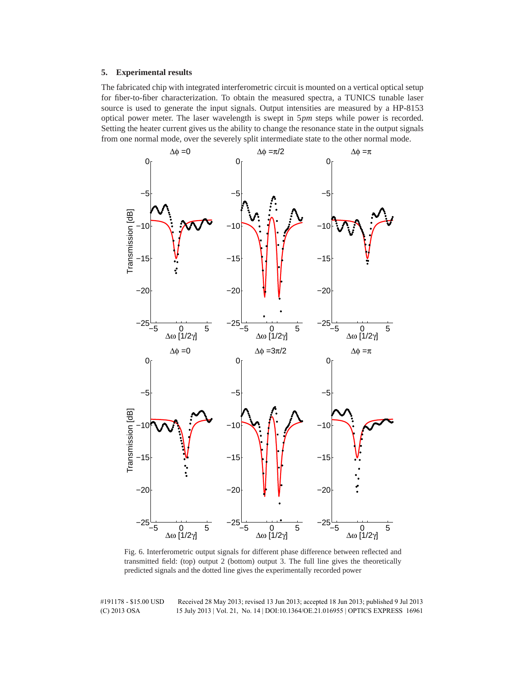#### **5. Experimental results**

The fabricated chip with integrated interferometric circuit is mounted on a vertical optical setup for fiber-to-fiber characterization. To obtain the measured spectra, a TUNICS tunable laser source is used to generate the input signals. Output intensities are measured by a HP-8153 optical power meter. The laser wavelength is swept in 5*pm* steps while power is recorded. Setting the heater current gives us the ability to change the resonance state in the output signals from one normal mode, over the severely split intermediate state to the other normal mode.



Fig. 6. Interferometric output signals for different phase difference between reflected and transmitted field: (top) output 2 (bottom) output 3. The full line gives the theoretically predicted signals and the dotted line gives the experimentally recorded power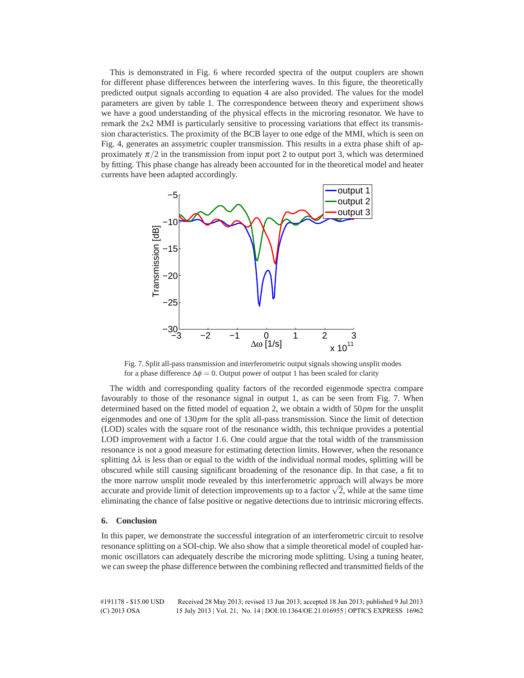This is demonstrated in Fig. 6 where recorded spectra of the output couplers are shown for different phase differences between the interfering waves. In this figure, the theoretically predicted output signals according to equation 4 are also provided. The values for the model parameters are given by table 1. The correspondence between theory and experiment shows we have a good understanding of the physical effects in the microring resonator. We have to remark the 2x2 MMI is particularly sensitive to processing variations that effect its transmission characteristics. The proximity of the BCB layer to one edge of the MMI, which is seen on Fig. 4, generates an assymetric coupler transmission. This results in a extra phase shift of approximately  $\pi/2$  in the transmission from input port 2 to output port 3, which was determined by fitting. This phase change has already been accounted for in the theoretical model and heater currents have been adapted accordingly.



Fig. 7. Split all-pass transmission and interferometric output signals showing unsplit modes for a phase difference  $\Delta \phi = 0$ . Output power of output 1 has been scaled for clarity

The width and corresponding quality factors of the recorded eigenmode spectra compare favourably to those of the resonance signal in output 1, as can be seen from Fig. 7. When determined based on the fitted model of equation 2, we obtain a width of 50*pm* for the unsplit eigenmodes and one of 130*pm* for the split all-pass transmission. Since the limit of detection (LOD) scales with the square root of the resonance width, this technique provides a potential LOD improvement with a factor 1*.*6. One could argue that the total width of the transmission resonance is not a good measure for estimating detection limits. However, when the resonance splitting  $\Delta \lambda$  is less than or equal to the width of the individual normal modes, splitting will be obscured while still causing significant broadening of the resonance dip. In that case, a fit to the more narrow unsplit mode revealed by this interferometric approach will always be more accurate and provide limit of detection improvements up to a factor  $\sqrt{2}$ , while at the same time eliminating the chance of false positive or negative detections due to intrinsic microring effects.

#### **6. Conclusion**

In this paper, we demonstrate the successful integration of an interferometric circuit to resolve resonance splitting on a SOI-chip. We also show that a simple theoretical model of coupled harmonic oscillators can adequately describe the microring mode splitting. Using a tuning heater, we can sweep the phase difference between the combining reflected and transmitted fields of the